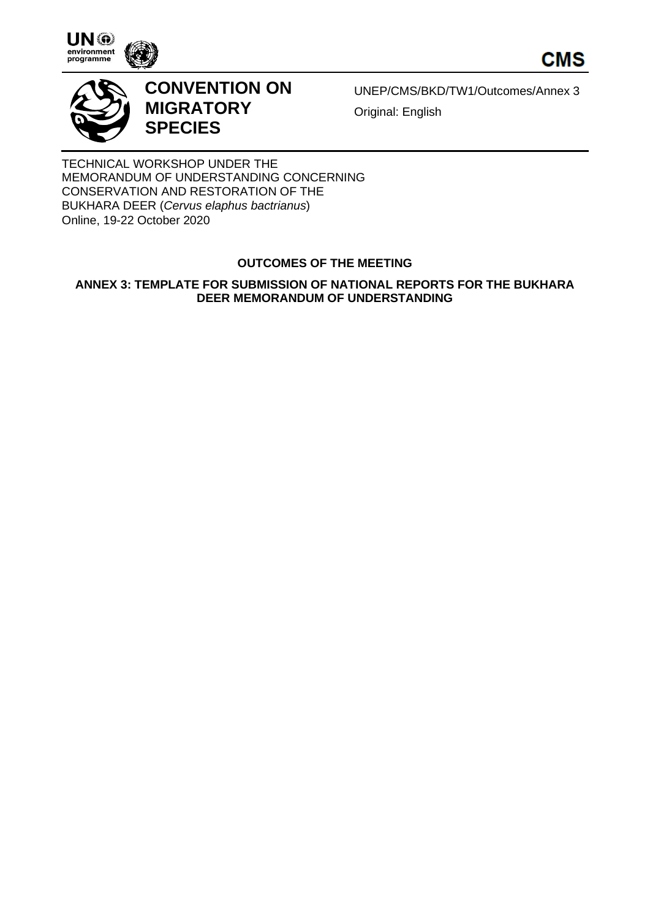





# **CONVENTION ON MIGRATORY SPECIES**

UNEP/CMS/BKD/TW1/Outcomes/Annex 3 Original: English

TECHNICAL WORKSHOP UNDER THE MEMORANDUM OF UNDERSTANDING CONCERNING CONSERVATION AND RESTORATION OF THE BUKHARA DEER (*Cervus elaphus bactrianus*) Online, 19-22 October 2020

# **OUTCOMES OF THE MEETING**

## **ANNEX 3: TEMPLATE FOR SUBMISSION OF NATIONAL REPORTS FOR THE BUKHARA DEER MEMORANDUM OF UNDERSTANDING**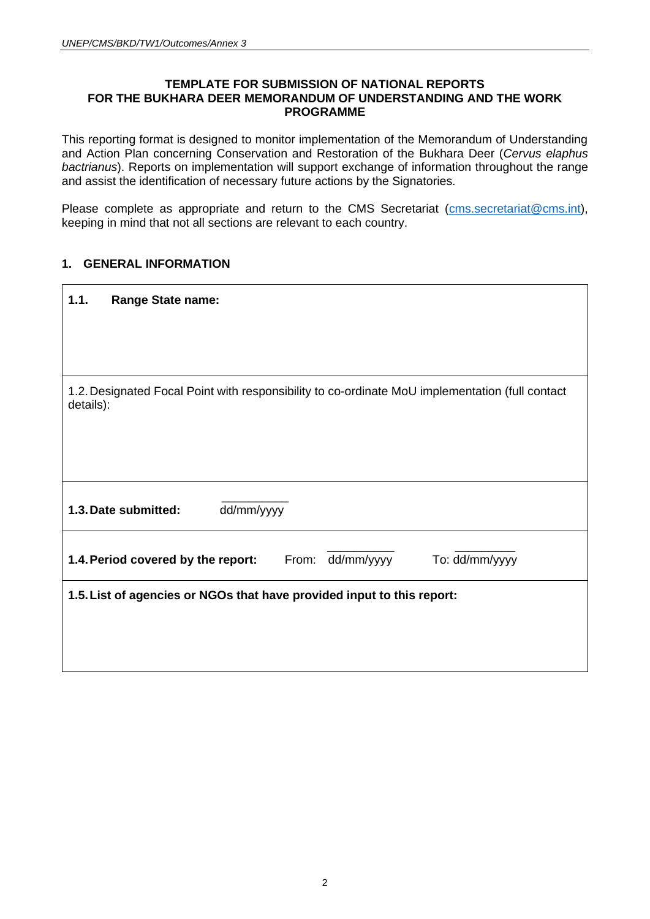#### **TEMPLATE FOR SUBMISSION OF NATIONAL REPORTS FOR THE BUKHARA DEER MEMORANDUM OF UNDERSTANDING AND THE WORK PROGRAMME**

This reporting format is designed to monitor implementation of the Memorandum of Understanding and Action Plan concerning Conservation and Restoration of the Bukhara Deer (*Cervus elaphus bactrianus*). Reports on implementation will support exchange of information throughout the range and assist the identification of necessary future actions by the Signatories.

Please complete as appropriate and return to the CMS Secretariat (cms[.secretariat@cms.int\)](mailto:secretariat@cms.int), keeping in mind that not all sections are relevant to each country.

## **1. GENERAL INFORMATION**

| 1.1.      | <b>Range State name:</b>                                                                        |
|-----------|-------------------------------------------------------------------------------------------------|
|           |                                                                                                 |
|           |                                                                                                 |
|           |                                                                                                 |
| details): | 1.2. Designated Focal Point with responsibility to co-ordinate MoU implementation (full contact |
|           |                                                                                                 |
|           |                                                                                                 |
|           |                                                                                                 |
|           | dd/mm/yyyy<br>1.3. Date submitted:                                                              |
|           |                                                                                                 |
|           | From: dd/mm/yyyy<br>To: dd/mm/yyyy<br>1.4. Period covered by the report:                        |
|           | 1.5. List of agencies or NGOs that have provided input to this report:                          |
|           |                                                                                                 |
|           |                                                                                                 |
|           |                                                                                                 |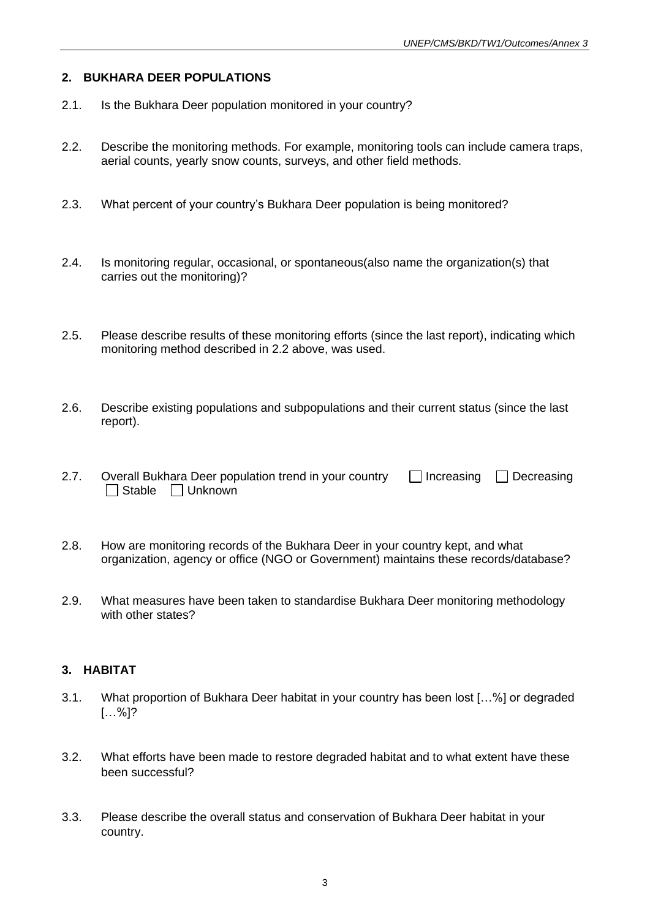## **2. BUKHARA DEER POPULATIONS**

- 2.1. Is the Bukhara Deer population monitored in your country?
- 2.2. Describe the monitoring methods. For example, monitoring tools can include camera traps, aerial counts, yearly snow counts, surveys, and other field methods.
- 2.3. What percent of your country's Bukhara Deer population is being monitored?
- 2.4. Is monitoring regular, occasional, or spontaneous(also name the organization(s) that carries out the monitoring)?
- 2.5. Please describe results of these monitoring efforts (since the last report), indicating which monitoring method described in 2.2 above, was used.
- 2.6. Describe existing populations and subpopulations and their current status (since the last report).
- 2.7. Overall Bukhara Deer population trend in your country  $\Box$  Increasing  $\Box$  Decreasing  $\Box$  Stable  $\Box$  Unknown
- 2.8. How are monitoring records of the Bukhara Deer in your country kept, and what organization, agency or office (NGO or Government) maintains these records/database?
- 2.9. What measures have been taken to standardise Bukhara Deer monitoring methodology with other states?

## **3. HABITAT**

- 3.1. What proportion of Bukhara Deer habitat in your country has been lost […%] or degraded […%]?
- 3.2. What efforts have been made to restore degraded habitat and to what extent have these been successful?
- 3.3. Please describe the overall status and conservation of Bukhara Deer habitat in your country.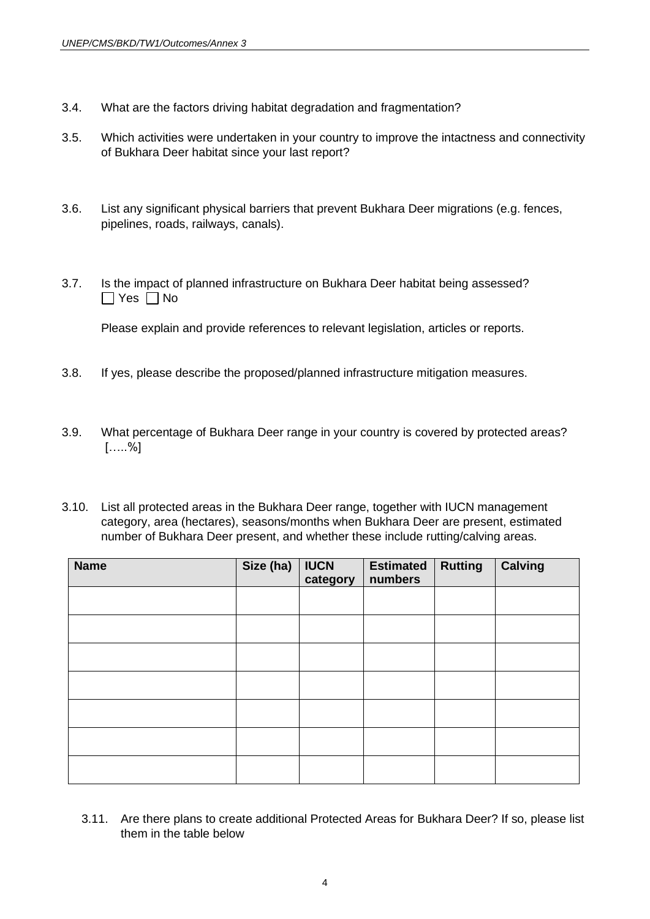- 3.4. What are the factors driving habitat degradation and fragmentation?
- 3.5. Which activities were undertaken in your country to improve the intactness and connectivity of Bukhara Deer habitat since your last report?
- 3.6. List any significant physical barriers that prevent Bukhara Deer migrations (e.g. fences, pipelines, roads, railways, canals).
- 3.7. Is the impact of planned infrastructure on Bukhara Deer habitat being assessed?  $\Box$  Yes  $\Box$  No

Please explain and provide references to relevant legislation, articles or reports.

- 3.8. If yes, please describe the proposed/planned infrastructure mitigation measures.
- 3.9. What percentage of Bukhara Deer range in your country is covered by protected areas?  $[....%]$
- 3.10. List all protected areas in the Bukhara Deer range, together with IUCN management category, area (hectares), seasons/months when Bukhara Deer are present, estimated number of Bukhara Deer present, and whether these include rutting/calving areas.

| <b>Name</b> | Size (ha) | <b>IUCN</b><br>category | <b>Estimated</b><br>numbers | <b>Rutting</b> | <b>Calving</b> |
|-------------|-----------|-------------------------|-----------------------------|----------------|----------------|
|             |           |                         |                             |                |                |
|             |           |                         |                             |                |                |
|             |           |                         |                             |                |                |
|             |           |                         |                             |                |                |
|             |           |                         |                             |                |                |
|             |           |                         |                             |                |                |
|             |           |                         |                             |                |                |

3.11. Are there plans to create additional Protected Areas for Bukhara Deer? If so, please list them in the table below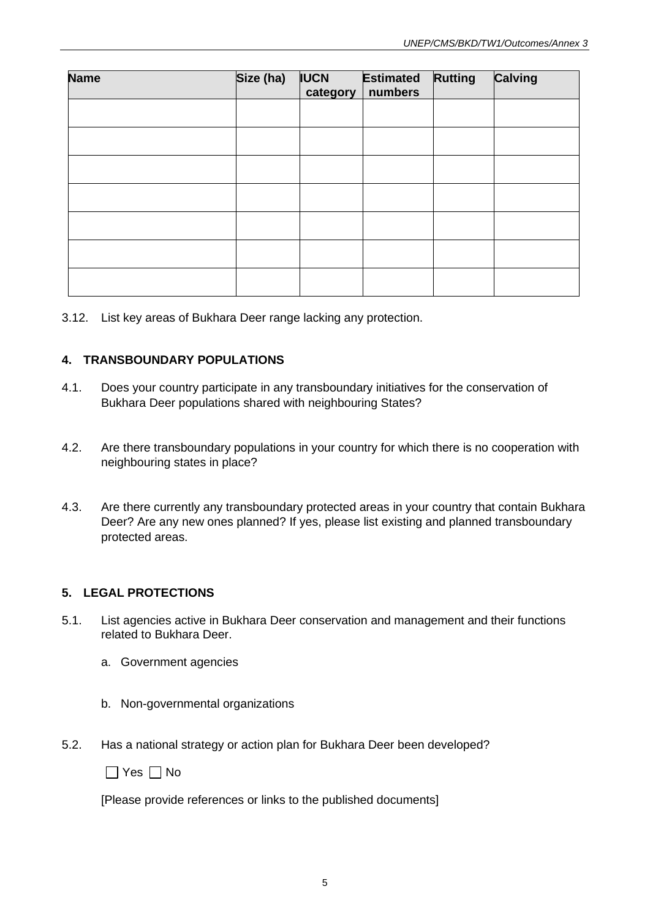| <b>Name</b> | Size (ha) | <b>IUCN</b><br>category | <b>Estimated</b><br>numbers | <b>Rutting</b> | <b>Calving</b> |
|-------------|-----------|-------------------------|-----------------------------|----------------|----------------|
|             |           |                         |                             |                |                |
|             |           |                         |                             |                |                |
|             |           |                         |                             |                |                |
|             |           |                         |                             |                |                |
|             |           |                         |                             |                |                |
|             |           |                         |                             |                |                |
|             |           |                         |                             |                |                |

3.12. List key areas of Bukhara Deer range lacking any protection.

## **4. TRANSBOUNDARY POPULATIONS**

- 4.1. Does your country participate in any transboundary initiatives for the conservation of Bukhara Deer populations shared with neighbouring States?
- 4.2. Are there transboundary populations in your country for which there is no cooperation with neighbouring states in place?
- 4.3. Are there currently any transboundary protected areas in your country that contain Bukhara Deer? Are any new ones planned? If yes, please list existing and planned transboundary protected areas.

## **5. LEGAL PROTECTIONS**

- 5.1. List agencies active in Bukhara Deer conservation and management and their functions related to Bukhara Deer.
	- a. Government agencies
	- b. Non-governmental organizations
- 5.2. Has a national strategy or action plan for Bukhara Deer been developed?

 $\Box$  Yes  $\Box$  No

[Please provide references or links to the published documents]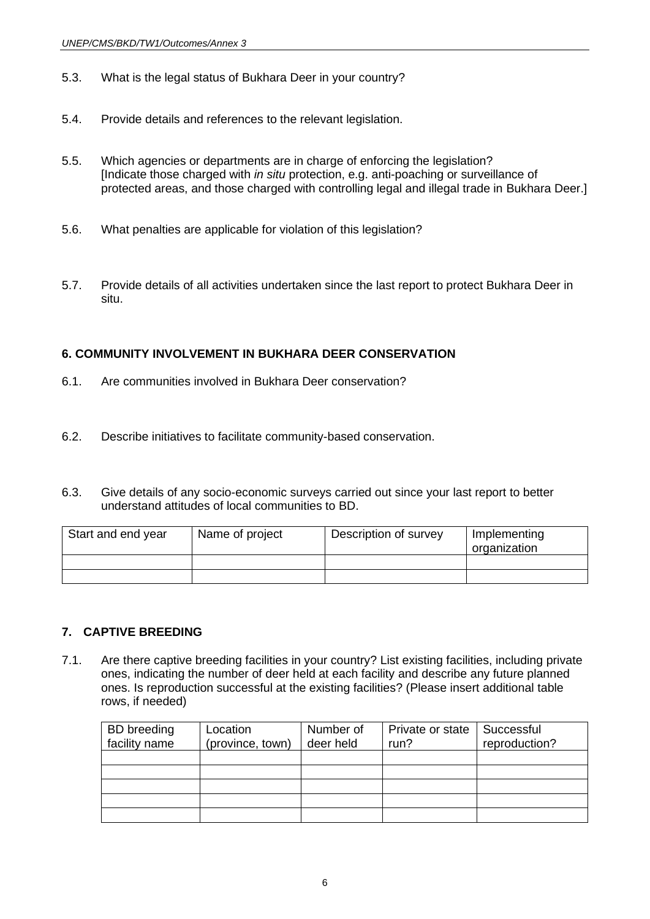- 5.3. What is the legal status of Bukhara Deer in your country?
- 5.4. Provide details and references to the relevant legislation.
- 5.5. Which agencies or departments are in charge of enforcing the legislation? [Indicate those charged with *in situ* protection, e.g. anti-poaching or surveillance of protected areas, and those charged with controlling legal and illegal trade in Bukhara Deer.]
- 5.6. What penalties are applicable for violation of this legislation?
- 5.7. Provide details of all activities undertaken since the last report to protect Bukhara Deer in situ.

#### **6. COMMUNITY INVOLVEMENT IN BUKHARA DEER CONSERVATION**

- 6.1. Are communities involved in Bukhara Deer conservation?
- 6.2. Describe initiatives to facilitate community-based conservation.
- 6.3. Give details of any socio-economic surveys carried out since your last report to better understand attitudes of local communities to BD.

| Start and end year | Name of project | Description of survey | Implementing<br>organization |
|--------------------|-----------------|-----------------------|------------------------------|
|                    |                 |                       |                              |
|                    |                 |                       |                              |

#### **7. CAPTIVE BREEDING**

7.1. Are there captive breeding facilities in your country? List existing facilities, including private ones, indicating the number of deer held at each facility and describe any future planned ones. Is reproduction successful at the existing facilities? (Please insert additional table rows, if needed)

| <b>BD</b> breeding | Location         | Number of | Private or state | Successful    |
|--------------------|------------------|-----------|------------------|---------------|
| facility name      | (province, town) | deer held | run?             | reproduction? |
|                    |                  |           |                  |               |
|                    |                  |           |                  |               |
|                    |                  |           |                  |               |
|                    |                  |           |                  |               |
|                    |                  |           |                  |               |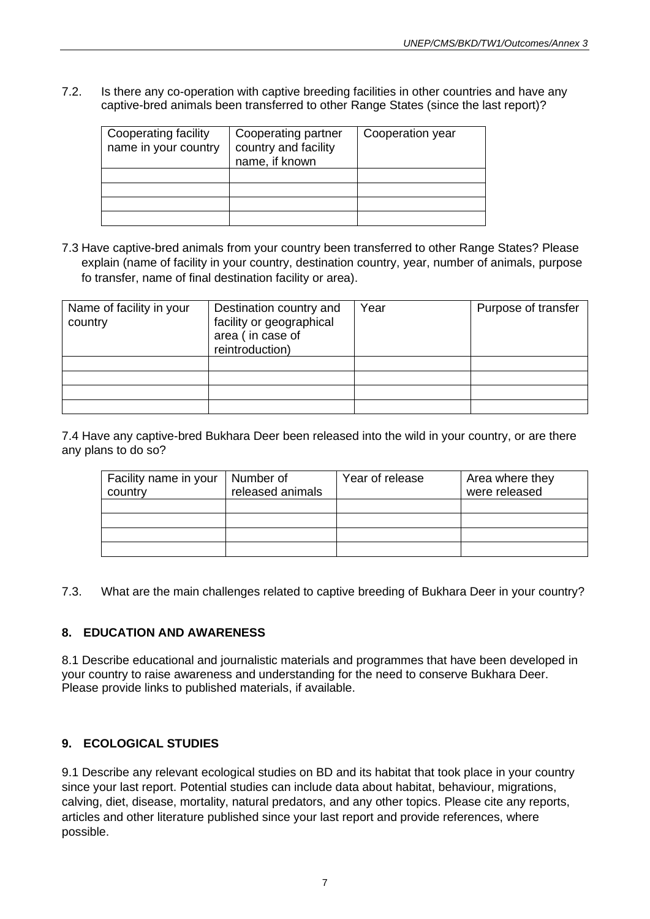7.2. Is there any co-operation with captive breeding facilities in other countries and have any captive-bred animals been transferred to other Range States (since the last report)?

| Cooperating facility<br>name in your country | Cooperating partner<br>country and facility<br>name, if known | Cooperation year |
|----------------------------------------------|---------------------------------------------------------------|------------------|
|                                              |                                                               |                  |
|                                              |                                                               |                  |
|                                              |                                                               |                  |
|                                              |                                                               |                  |

7.3 Have captive-bred animals from your country been transferred to other Range States? Please explain (name of facility in your country, destination country, year, number of animals, purpose fo transfer, name of final destination facility or area).

| Name of facility in your<br>Destination country and<br>facility or geographical<br>country<br>area (in case of<br>reintroduction) |  | Year | Purpose of transfer |
|-----------------------------------------------------------------------------------------------------------------------------------|--|------|---------------------|
|                                                                                                                                   |  |      |                     |
|                                                                                                                                   |  |      |                     |
|                                                                                                                                   |  |      |                     |
|                                                                                                                                   |  |      |                     |

7.4 Have any captive-bred Bukhara Deer been released into the wild in your country, or are there any plans to do so?

| Facility name in your<br>country | Number of<br>released animals | Year of release | Area where they<br>were released |
|----------------------------------|-------------------------------|-----------------|----------------------------------|
|                                  |                               |                 |                                  |
|                                  |                               |                 |                                  |
|                                  |                               |                 |                                  |
|                                  |                               |                 |                                  |

7.3. What are the main challenges related to captive breeding of Bukhara Deer in your country?

## **8. EDUCATION AND AWARENESS**

8.1 Describe educational and journalistic materials and programmes that have been developed in your country to raise awareness and understanding for the need to conserve Bukhara Deer. Please provide links to published materials, if available.

## **9. ECOLOGICAL STUDIES**

9.1 Describe any relevant ecological studies on BD and its habitat that took place in your country since your last report. Potential studies can include data about habitat, behaviour, migrations, calving, diet, disease, mortality, natural predators, and any other topics. Please cite any reports, articles and other literature published since your last report and provide references, where possible.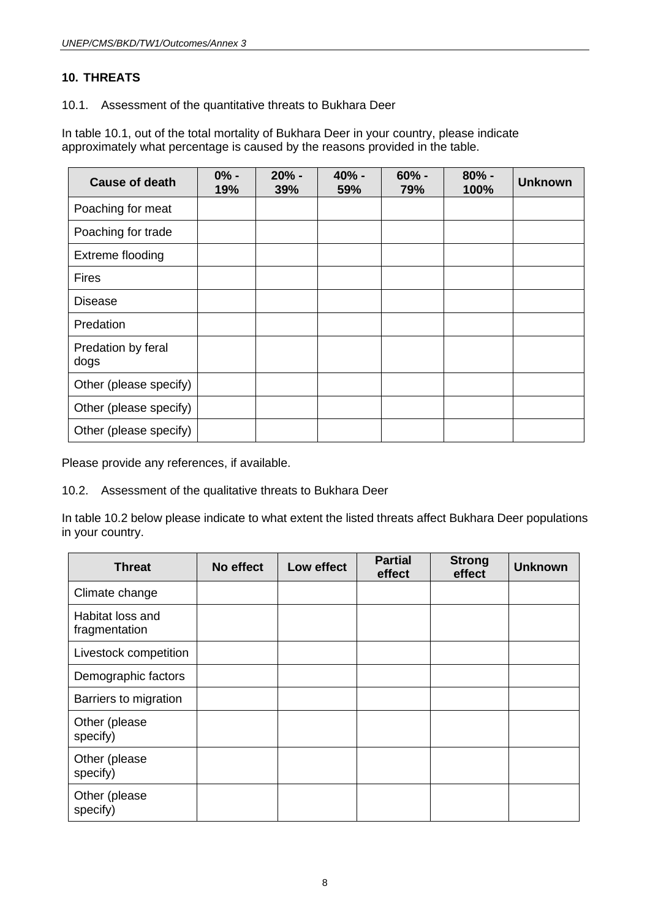# **10. THREATS**

10.1. Assessment of the quantitative threats to Bukhara Deer

In table 10.1, out of the total mortality of Bukhara Deer in your country, please indicate approximately what percentage is caused by the reasons provided in the table.

| <b>Cause of death</b>      | $0% -$<br>19% | $20% -$<br>39% | 40% -<br>59% | $60% -$<br>79% | $80% -$<br>100% | <b>Unknown</b> |
|----------------------------|---------------|----------------|--------------|----------------|-----------------|----------------|
| Poaching for meat          |               |                |              |                |                 |                |
| Poaching for trade         |               |                |              |                |                 |                |
| Extreme flooding           |               |                |              |                |                 |                |
| <b>Fires</b>               |               |                |              |                |                 |                |
| <b>Disease</b>             |               |                |              |                |                 |                |
| Predation                  |               |                |              |                |                 |                |
| Predation by feral<br>dogs |               |                |              |                |                 |                |
| Other (please specify)     |               |                |              |                |                 |                |
| Other (please specify)     |               |                |              |                |                 |                |
| Other (please specify)     |               |                |              |                |                 |                |

Please provide any references, if available.

10.2. Assessment of the qualitative threats to Bukhara Deer

In table 10.2 below please indicate to what extent the listed threats affect Bukhara Deer populations in your country.

| <b>Threat</b>                     | No effect | Low effect | <b>Partial</b><br>effect | <b>Strong</b><br>effect | <b>Unknown</b> |
|-----------------------------------|-----------|------------|--------------------------|-------------------------|----------------|
| Climate change                    |           |            |                          |                         |                |
| Habitat loss and<br>fragmentation |           |            |                          |                         |                |
| Livestock competition             |           |            |                          |                         |                |
| Demographic factors               |           |            |                          |                         |                |
| Barriers to migration             |           |            |                          |                         |                |
| Other (please<br>specify)         |           |            |                          |                         |                |
| Other (please<br>specify)         |           |            |                          |                         |                |
| Other (please<br>specify)         |           |            |                          |                         |                |